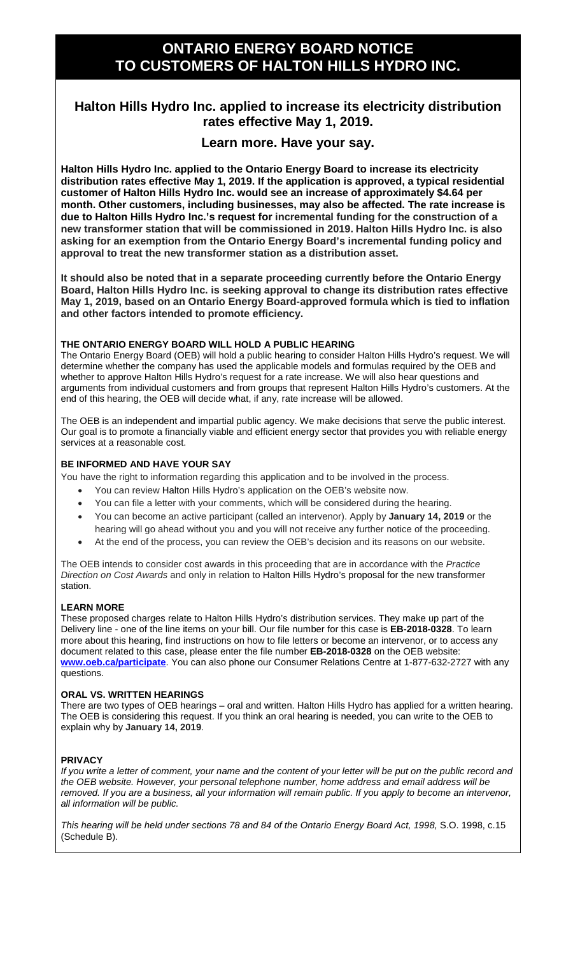# **ONTARIO ENERGY BOARD NOTICE TO CUSTOMERS OF HALTON HILLS HYDRO INC.**

## **Halton Hills Hydro Inc. applied to increase its electricity distribution rates effective May 1, 2019.**

### **Learn more. Have your say.**

**Halton Hills Hydro Inc. applied to the Ontario Energy Board to increase its electricity distribution rates effective May 1, 2019. If the application is approved, a typical residential customer of Halton Hills Hydro Inc. would see an increase of approximately \$4.64 per month. Other customers, including businesses, may also be affected. The rate increase is due to Halton Hills Hydro Inc.'s request for incremental funding for the construction of a new transformer station that will be commissioned in 2019. Halton Hills Hydro Inc. is also asking for an exemption from the Ontario Energy Board's incremental funding policy and approval to treat the new transformer station as a distribution asset.**

**It should also be noted that in a separate proceeding currently before the Ontario Energy Board, Halton Hills Hydro Inc. is seeking approval to change its distribution rates effective May 1, 2019, based on an Ontario Energy Board-approved formula which is tied to inflation and other factors intended to promote efficiency.** 

#### **THE ONTARIO ENERGY BOARD WILL HOLD A PUBLIC HEARING**

The Ontario Energy Board (OEB) will hold a public hearing to consider Halton Hills Hydro's request. We will determine whether the company has used the applicable models and formulas required by the OEB and whether to approve Halton Hills Hydro's request for a rate increase. We will also hear questions and arguments from individual customers and from groups that represent Halton Hills Hydro's customers. At the end of this hearing, the OEB will decide what, if any, rate increase will be allowed.

The OEB is an independent and impartial public agency. We make decisions that serve the public interest. Our goal is to promote a financially viable and efficient energy sector that provides you with reliable energy services at a reasonable cost.

#### **BE INFORMED AND HAVE YOUR SAY**

You have the right to information regarding this application and to be involved in the process.

- You can review Halton Hills Hydro's application on the OEB's website now.
- You can file a letter with your comments, which will be considered during the hearing.
- You can become an active participant (called an intervenor). Apply by **January 14, 2019** or the hearing will go ahead without you and you will not receive any further notice of the proceeding.
- At the end of the process, you can review the OEB's decision and its reasons on our website.

The OEB intends to consider cost awards in this proceeding that are in accordance with the *Practice Direction on Cost Awards* and only in relation to Halton Hills Hydro's proposal for the new transformer station.

#### **LEARN MORE**

These proposed charges relate to Halton Hills Hydro's distribution services. They make up part of the Delivery line - one of the line items on your bill. Our file number for this case is **EB-2018-0328**. To learn more about this hearing, find instructions on how to file letters or become an intervenor, or to access any document related to this case, please enter the file number **EB-2018-0328** on the OEB website: **[www.oeb.ca/participate](http://www.oeb.ca/participate)**. You can also phone our Consumer Relations Centre at 1-877-632-2727 with any questions.

#### **ORAL VS. WRITTEN HEARINGS**

There are two types of OEB hearings – oral and written. Halton Hills Hydro has applied for a written hearing. The OEB is considering this request. If you think an oral hearing is needed, you can write to the OEB to explain why by **January 14, 2019**.

#### **PRIVACY**

*If you write a letter of comment, your name and the content of your letter will be put on the public record and the OEB website. However, your personal telephone number, home address and email address will be removed. If you are a business, all your information will remain public. If you apply to become an intervenor, all information will be public.* 

*This hearing will be held under sections 78 and 84 of the Ontario Energy Board Act, 1998,* S.O. 1998, c.15 (Schedule B).